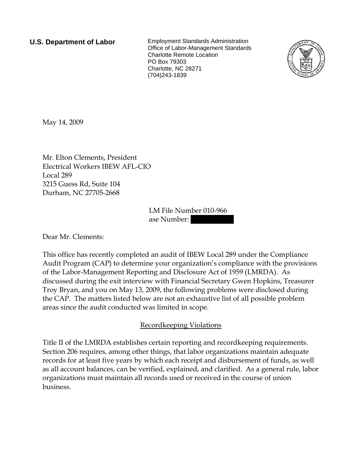**U.S. Department of Labor** Employment Standards Administration Office of Labor-Management Standards Charlotte Remote Location PO Box 79303 Charlotte, NC 28271 (704)243-1839



May 14, 2009

Mr. Elton Clements, President Electrical Workers IBEW AFL-CIO Local 289 3215 Guess Rd, Suite 104 Durham, NC 27705-2668

> LM File Number 010-966 ase Number:

Dear Mr. Clements:

This office has recently completed an audit of IBEW Local 289 under the Compliance Audit Program (CAP) to determine your organization's compliance with the provisions of the Labor-Management Reporting and Disclosure Act of 1959 (LMRDA). As discussed during the exit interview with Financial Secretary Gwen Hopkins, Treasurer Troy Bryan, and you on May 13, 2009, the following problems were disclosed during the CAP. The matters listed below are not an exhaustive list of all possible problem areas since the audit conducted was limited in scope.

## Recordkeeping Violations

Title II of the LMRDA establishes certain reporting and recordkeeping requirements. Section 206 requires, among other things, that labor organizations maintain adequate records for at least five years by which each receipt and disbursement of funds, as well as all account balances, can be verified, explained, and clarified. As a general rule, labor organizations must maintain all records used or received in the course of union business.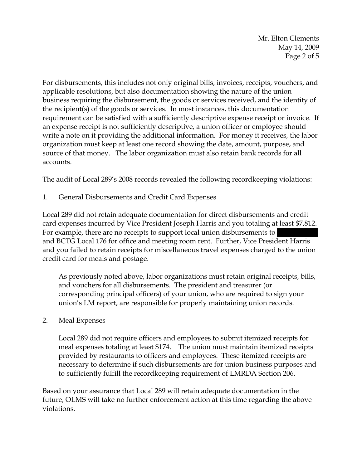Mr. Elton Clements May 14, 2009 Page 2 of 5

For disbursements, this includes not only original bills, invoices, receipts, vouchers, and applicable resolutions, but also documentation showing the nature of the union business requiring the disbursement, the goods or services received, and the identity of the recipient(s) of the goods or services. In most instances, this documentation requirement can be satisfied with a sufficiently descriptive expense receipt or invoice. If an expense receipt is not sufficiently descriptive, a union officer or employee should write a note on it providing the additional information. For money it receives, the labor organization must keep at least one record showing the date, amount, purpose, and source of that money. The labor organization must also retain bank records for all accounts.

The audit of Local 289's 2008 records revealed the following recordkeeping violations:

1. General Disbursements and Credit Card Expenses

Local 289 did not retain adequate documentation for direct disbursements and credit card expenses incurred by Vice President Joseph Harris and you totaling at least \$7,812. For example, there are no receipts to support local union disbursements to and BCTG Local 176 for office and meeting room rent. Further, Vice President Harris and you failed to retain receipts for miscellaneous travel expenses charged to the union credit card for meals and postage.

As previously noted above, labor organizations must retain original receipts, bills, and vouchers for all disbursements. The president and treasurer (or corresponding principal officers) of your union, who are required to sign your union's LM report, are responsible for properly maintaining union records.

## 2. Meal Expenses

Local 289 did not require officers and employees to submit itemized receipts for meal expenses totaling at least \$174. The union must maintain itemized receipts provided by restaurants to officers and employees. These itemized receipts are necessary to determine if such disbursements are for union business purposes and to sufficiently fulfill the recordkeeping requirement of LMRDA Section 206.

Based on your assurance that Local 289 will retain adequate documentation in the future, OLMS will take no further enforcement action at this time regarding the above violations.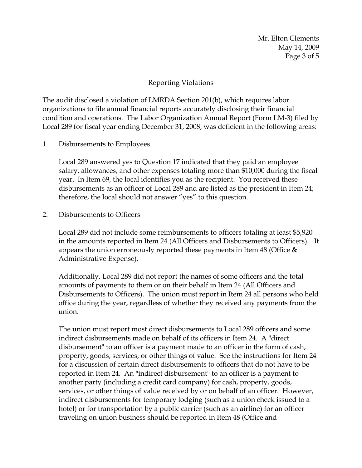Mr. Elton Clements May 14, 2009 Page 3 of 5

## Reporting Violations

The audit disclosed a violation of LMRDA Section 201(b), which requires labor organizations to file annual financial reports accurately disclosing their financial condition and operations. The Labor Organization Annual Report (Form LM-3) filed by Local 289 for fiscal year ending December 31, 2008, was deficient in the following areas:

1. Disbursements to Employees

Local 289 answered yes to Question 17 indicated that they paid an employee salary, allowances, and other expenses totaling more than \$10,000 during the fiscal year. In Item 69, the local identifies you as the recipient. You received these disbursements as an officer of Local 289 and are listed as the president in Item 24; therefore, the local should not answer "yes" to this question.

2. Disbursements to Officers

Local 289 did not include some reimbursements to officers totaling at least \$5,920 in the amounts reported in Item 24 (All Officers and Disbursements to Officers). It appears the union erroneously reported these payments in Item 48 (Office & Administrative Expense).

Additionally, Local 289 did not report the names of some officers and the total amounts of payments to them or on their behalf in Item 24 (All Officers and Disbursements to Officers). The union must report in Item 24 all persons who held office during the year, regardless of whether they received any payments from the union.

The union must report most direct disbursements to Local 289 officers and some indirect disbursements made on behalf of its officers in Item 24. A "direct disbursement" to an officer is a payment made to an officer in the form of cash, property, goods, services, or other things of value. See the instructions for Item 24 for a discussion of certain direct disbursements to officers that do not have to be reported in Item 24. An "indirect disbursement" to an officer is a payment to another party (including a credit card company) for cash, property, goods, services, or other things of value received by or on behalf of an officer. However, indirect disbursements for temporary lodging (such as a union check issued to a hotel) or for transportation by a public carrier (such as an airline) for an officer traveling on union business should be reported in Item 48 (Office and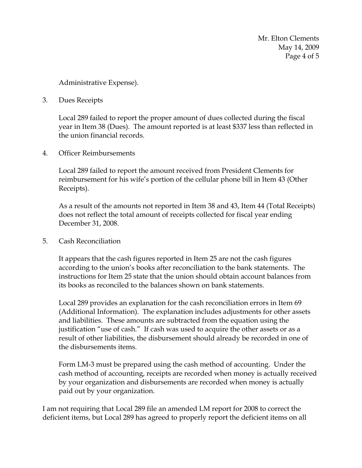Mr. Elton Clements May 14, 2009 Page 4 of 5

Administrative Expense).

3. Dues Receipts

Local 289 failed to report the proper amount of dues collected during the fiscal year in Item 38 (Dues). The amount reported is at least \$337 less than reflected in the union financial records.

4. Officer Reimbursements

Local 289 failed to report the amount received from President Clements for reimbursement for his wife's portion of the cellular phone bill in Item 43 (Other Receipts).

As a result of the amounts not reported in Item 38 and 43, Item 44 (Total Receipts) does not reflect the total amount of receipts collected for fiscal year ending December 31, 2008.

5. Cash Reconciliation

It appears that the cash figures reported in Item 25 are not the cash figures according to the union's books after reconciliation to the bank statements. The instructions for Item 25 state that the union should obtain account balances from its books as reconciled to the balances shown on bank statements.

Local 289 provides an explanation for the cash reconciliation errors in Item 69 (Additional Information). The explanation includes adjustments for other assets and liabilities. These amounts are subtracted from the equation using the justification "use of cash." If cash was used to acquire the other assets or as a result of other liabilities, the disbursement should already be recorded in one of the disbursements items.

Form LM-3 must be prepared using the cash method of accounting. Under the cash method of accounting, receipts are recorded when money is actually received by your organization and disbursements are recorded when money is actually paid out by your organization.

I am not requiring that Local 289 file an amended LM report for 2008 to correct the deficient items, but Local 289 has agreed to properly report the deficient items on all